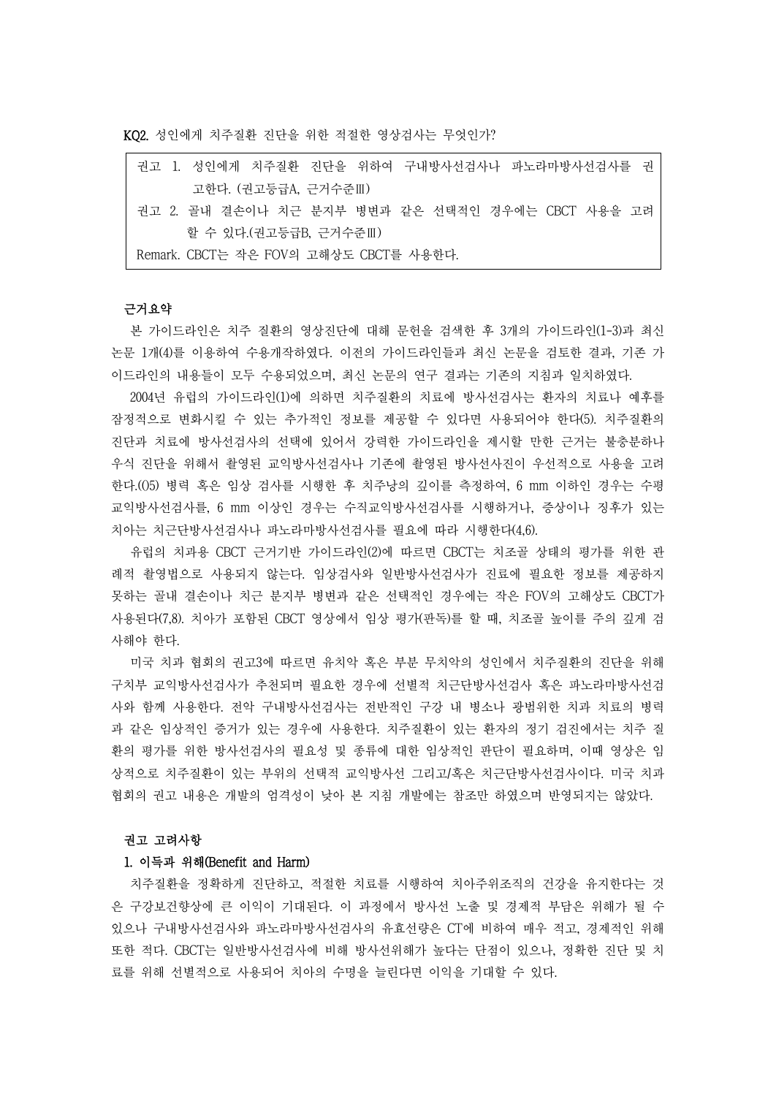KQ2. 성인에게 치주질환 진단을 위한 적절한 영상검사는 무엇인가?

| 권고 1. 성인에게 치주질환 진단을 위하여 구내방사선검사나 파노라마방사선검사를 권     |  |  |  |  |
|---------------------------------------------------|--|--|--|--|
| 고한다. (권고등급A, 근거수준Ⅲ)                               |  |  |  |  |
| 권고 2. 골내 결손이나 치근 분지부 병변과 같은 선택적인 경우에는 CBCT 사용을 고려 |  |  |  |  |
| 할 수 있다.(권고등급B, 근거수준Ⅲ)                             |  |  |  |  |
| Remark. CBCT는 작은 FOV의 고해상도 CBCT를 사용한다.            |  |  |  |  |

### 근거요약

본 가이드라인은 치주 질환의 영상진단에 대해 문헌을 검색한 후 3개의 가이드라인(1-3)과 최신 논문 1개(4)를 이용하여 수용개작하였다. 이전의 가이드라인들과 최신 논문을 검토한 결과, 기존 가 이드라인의 내용들이 모두 수용되었으며, 최신 논문의 연구 결과는 기존의 지침과 일치하였다.

2004년 유럽의 가이드라인(1)에 의하면 치주질환의 치료에 방사선검사는 환자의 치료나 예후를 잠정적으로 변화시킬 수 있는 추가적인 정보를 제공할 수 있다면 사용되어야 한다(5). 치주질환의 진단과 치료에 방사선검사의 선택에 있어서 강력한 가이드라인을 제시할 만한 근거는 불충분하나 우식 진단을 위해서 촬영된 교익방사선검사나 기존에 촬영된 방사선사진이 우선적으로 사용을 고려 한다.(()5) 병력 혹은 임상 검사를 시행한 후 치주낭의 깊이를 측정하여, 6 mm 이하인 경우는 수평 교익방사선검사를, 6 mm 이상인 경우는 수직교익방사선검사를 시행하거나, 증상이나 징후가 있는 치아는 치근단방사선검사나 파노라마방사선검사를 필요에 따라 시행한다(4,6).

유럽의 치과용 CBCT 근거기반 가이드라인(2)에 따르면 CBCT는 치조골 상태의 평가를 위한 관 례적 촬영법으로 사용되지 않는다. 임상검사와 일반방사선검사가 진료에 필요한 정보를 제공하지 못하는 골내 결손이나 치근 분지부 병변과 같은 선택적인 경우에는 작은 FOV의 고해상도 CBCT가 사용된다(7,8). 치아가 포함된 CBCT 영상에서 임상 평가(판독)를 할 때, 치조골 높이를 주의 깊게 검 사해야 한다.

미국 치과 협회의 권고3에 따르면 유치악 혹은 부분 무치악의 성인에서 치주질환의 진단을 위해 구치부 교익방사선검사가 추천되며 필요한 경우에 선별적 치근단방사선검사 혹은 파노라마방사선검 사와 함께 사용한다. 전악 구내방사선검사는 전반적인 구강 내 병소나 광범위한 치과 치료의 병력 과 같은 임상적인 증거가 있는 경우에 사용한다. 치주질환이 있는 환자의 정기 검진에서는 치주 질 환의 평가를 위한 방사선검사의 필요성 및 종류에 대한 임상적인 판단이 필요하며, 이때 영상은 임 상적으로 치주질환이 있는 부위의 선택적 교익방사선 그리고/혹은 치근단방사선검사이다. 미국 치과 협회의 권고 내용은 개발의 엄격성이 낮아 본 지침 개발에는 참조만 하였으며 반영되지는 않았다.

#### 권고 고려사항

#### 1. 이득과 위해(Benefit and Harm)

치주질환을 정확하게 진단하고, 적절한 치료를 시행하여 치아주위조직의 건강을 유지한다는 것 은 구강보건향상에 큰 이익이 기대된다. 이 과정에서 방사선 노출 및 경제적 부담은 위해가 될 수 있으나 구내방사선검사와 파노라마방사선검사의 유효선량은 CT에 비하여 매우 적고, 경제적인 위해 또한 적다. CBCT는 일반방사선검사에 비해 방사선위해가 높다는 단점이 있으나, 정확한 진단 및 치 료를 위해 선별적으로 사용되어 치아의 수명을 늘린다면 이익을 기대할 수 있다.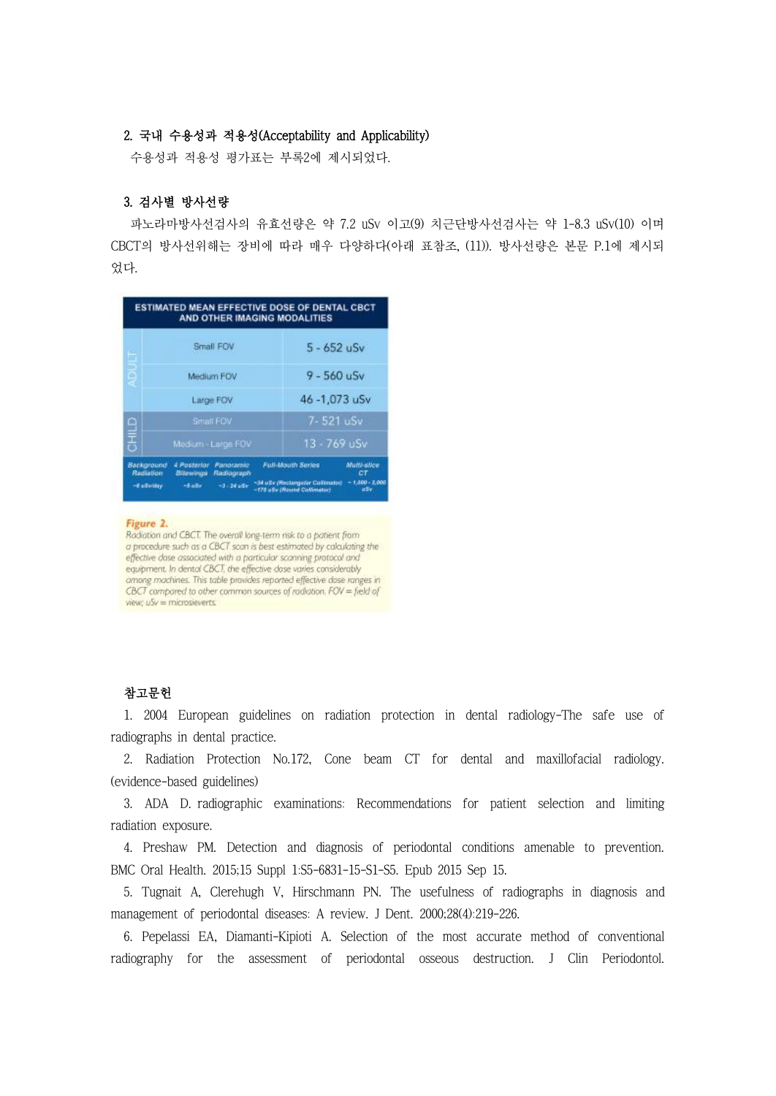## 2. 국내 수용성과 적용성(Acceptability and Applicability)

수용성과 적용성 평가표는 부록2에 제시되었다.

## 3. 검사별 방사선량

파노라마방사선검사의 유효선량은 약 7.2 uSv 이고(9) 치근단방사선검사는 약 1-8.3 uSv(10) 이며 CBCT의 방사선위해는 장비에 따라 매우 다양하다(아래 표참조, (11)). 방사선량은 본문 P.1에 제시되 었다.

|                                           |                                                                               | ESTIMATED MEAN EFFECTIVE DOSE OF DENTAL CBCT<br>AND OTHER IMAGING MODALITIES               |                                                     |  |
|-------------------------------------------|-------------------------------------------------------------------------------|--------------------------------------------------------------------------------------------|-----------------------------------------------------|--|
| ь                                         | Small FOV                                                                     | $5 - 652$ uSv                                                                              |                                                     |  |
| ą                                         | Medium FOV                                                                    | $9 - 560$ uSv                                                                              |                                                     |  |
|                                           | Large FOV                                                                     | 46-1,073 uSv                                                                               |                                                     |  |
|                                           | Small FOV                                                                     |                                                                                            | 7-521 uSv                                           |  |
| 日言                                        | Medium-Large FOV                                                              |                                                                                            | 13 - 769 uSv                                        |  |
| Background<br>Rediation:<br>-8 advertiser | 4 Posterior Panoramic<br>Bitewings<br>Radiograph<br>$-3 - 24$ adv<br>$-5$ aSv | <b>Full-Mouth Series</b><br>~34 uSv (Rectangular Collimator)<br>-178 aSv (Round Calimator) | <b>Multi-slice</b><br>СT<br>$-1,000 - 2,000$<br>uSv |  |

#### Figure 2.

Radiation and CBCT. The overall long-term risk to a patient from<br>a procedure such as a CBCT scan is best estimated by calculating the effective dase associated with a particular scanning protocol and<br>equipment. In dental CBCT, the effective dose varies considerably among machines. This table provides reported effective dase ranges in CBCT compared to other common sources of radiation. FOV = field of view;  $uSv =$  microsieverts.

# 참고문헌

1. 2004 European guidelines on radiation protection in dental radiology-The safe use of radiographs in dental practice.

2. Radiation Protection No.172, Cone beam CT for dental and maxillofacial radiology. (evidence-based guidelines)

3. ADA D. radiographic examinations: Recommendations for patient selection and limiting radiation exposure.

4. Preshaw PM. Detection and diagnosis of periodontal conditions amenable to prevention. BMC Oral Health. 2015;15 Suppl 1:S5-6831-15-S1-S5. Epub 2015 Sep 15.

5. Tugnait A, Clerehugh V, Hirschmann PN. The usefulness of radiographs in diagnosis and management of periodontal diseases: A review. J Dent. 2000;28(4):219-226.

6. Pepelassi EA, Diamanti-Kipioti A. Selection of the most accurate method of conventional radiography for the assessment of periodontal osseous destruction. J Clin Periodontol.